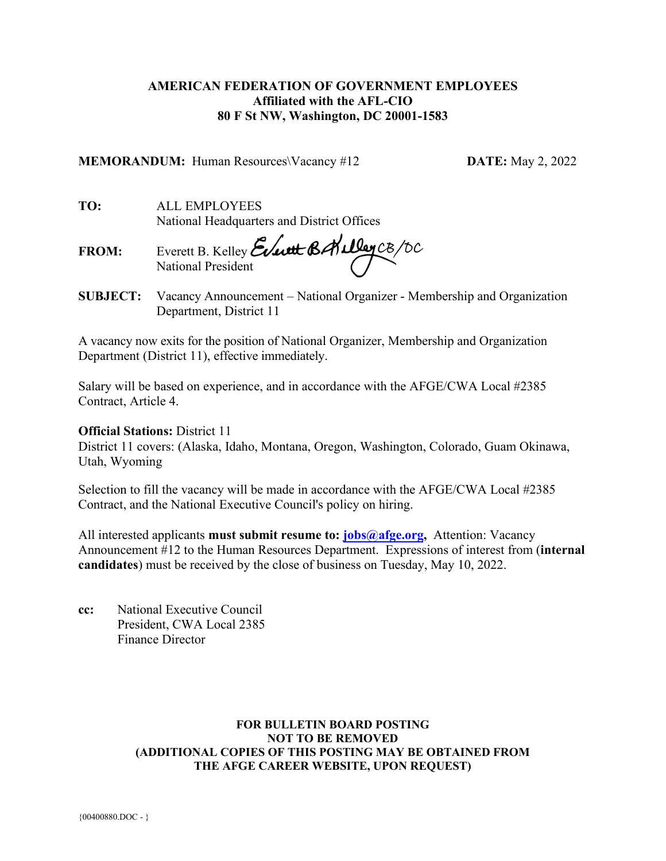## **AMERICAN FEDERATION OF GOVERNMENT EMPLOYEES Affiliated with the AFL-CIO 80 F St NW, Washington, DC 20001-1583**

**MEMORANDUM:** Human Resources\Vacancy #12 **DATE:** May 2, 2022

**TO:** ALL EMPLOYEES National Headquarters and District Offices

**FROM:** Everett B. Kelley National President

**SUBJECT:** Vacancy Announcement – National Organizer - Membership and Organization Department, District 11

A vacancy now exits for the position of National Organizer, Membership and Organization Department (District 11), effective immediately.

Salary will be based on experience, and in accordance with the AFGE/CWA Local #2385 Contract, Article 4.

## **Official Stations:** District 11

District 11 covers: (Alaska, Idaho, Montana, Oregon, Washington, Colorado, Guam Okinawa, Utah, Wyoming

Selection to fill the vacancy will be made in accordance with the AFGE/CWA Local #2385 Contract, and the National Executive Council's policy on hiring.

All interested applicants **must submit resume to: [jobs@afge.org,](mailto:jobs@afge.org)** Attention: Vacancy Announcement #12 to the Human Resources Department. Expressions of interest from (**internal candidates**) must be received by the close of business on Tuesday, May 10, 2022.

**cc:** National Executive Council President, CWA Local 2385 Finance Director

### **FOR BULLETIN BOARD POSTING NOT TO BE REMOVED (ADDITIONAL COPIES OF THIS POSTING MAY BE OBTAINED FROM THE AFGE CAREER WEBSITE, UPON REQUEST)**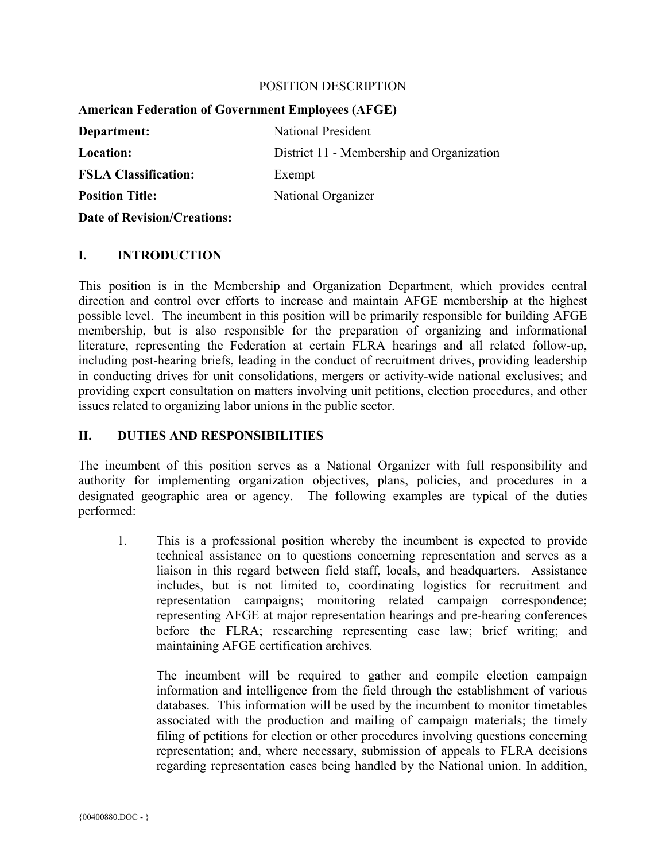#### POSITION DESCRIPTION

| <b>American Federation of Government Employees (AFGE)</b> |                                           |
|-----------------------------------------------------------|-------------------------------------------|
| Department:                                               | <b>National President</b>                 |
| <b>Location:</b>                                          | District 11 - Membership and Organization |
| <b>FSLA Classification:</b>                               | Exempt                                    |
| <b>Position Title:</b>                                    | National Organizer                        |
| <b>Date of Revision/Creations:</b>                        |                                           |

#### **I. INTRODUCTION**

This position is in the Membership and Organization Department, which provides central direction and control over efforts to increase and maintain AFGE membership at the highest possible level. The incumbent in this position will be primarily responsible for building AFGE membership, but is also responsible for the preparation of organizing and informational literature, representing the Federation at certain FLRA hearings and all related follow-up, including post-hearing briefs, leading in the conduct of recruitment drives, providing leadership in conducting drives for unit consolidations, mergers or activity-wide national exclusives; and providing expert consultation on matters involving unit petitions, election procedures, and other issues related to organizing labor unions in the public sector.

## **II. DUTIES AND RESPONSIBILITIES**

The incumbent of this position serves as a National Organizer with full responsibility and authority for implementing organization objectives, plans, policies, and procedures in a designated geographic area or agency. The following examples are typical of the duties performed:

1. This is a professional position whereby the incumbent is expected to provide technical assistance on to questions concerning representation and serves as a liaison in this regard between field staff, locals, and headquarters. Assistance includes, but is not limited to, coordinating logistics for recruitment and representation campaigns; monitoring related campaign correspondence; representing AFGE at major representation hearings and pre-hearing conferences before the FLRA; researching representing case law; brief writing; and maintaining AFGE certification archives.

The incumbent will be required to gather and compile election campaign information and intelligence from the field through the establishment of various databases. This information will be used by the incumbent to monitor timetables associated with the production and mailing of campaign materials; the timely filing of petitions for election or other procedures involving questions concerning representation; and, where necessary, submission of appeals to FLRA decisions regarding representation cases being handled by the National union. In addition,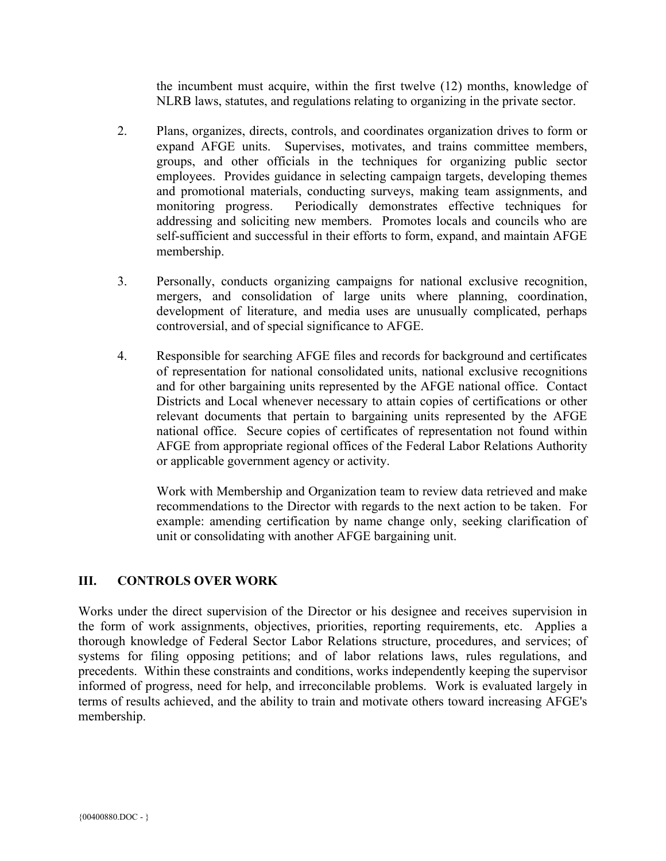the incumbent must acquire, within the first twelve (12) months, knowledge of NLRB laws, statutes, and regulations relating to organizing in the private sector.

- 2. Plans, organizes, directs, controls, and coordinates organization drives to form or expand AFGE units. Supervises, motivates, and trains committee members, groups, and other officials in the techniques for organizing public sector employees. Provides guidance in selecting campaign targets, developing themes and promotional materials, conducting surveys, making team assignments, and monitoring progress. Periodically demonstrates effective techniques for addressing and soliciting new members. Promotes locals and councils who are self-sufficient and successful in their efforts to form, expand, and maintain AFGE membership.
- 3. Personally, conducts organizing campaigns for national exclusive recognition, mergers, and consolidation of large units where planning, coordination, development of literature, and media uses are unusually complicated, perhaps controversial, and of special significance to AFGE.
- 4. Responsible for searching AFGE files and records for background and certificates of representation for national consolidated units, national exclusive recognitions and for other bargaining units represented by the AFGE national office. Contact Districts and Local whenever necessary to attain copies of certifications or other relevant documents that pertain to bargaining units represented by the AFGE national office. Secure copies of certificates of representation not found within AFGE from appropriate regional offices of the Federal Labor Relations Authority or applicable government agency or activity.

Work with Membership and Organization team to review data retrieved and make recommendations to the Director with regards to the next action to be taken. For example: amending certification by name change only, seeking clarification of unit or consolidating with another AFGE bargaining unit.

# **III. CONTROLS OVER WORK**

Works under the direct supervision of the Director or his designee and receives supervision in the form of work assignments, objectives, priorities, reporting requirements, etc. Applies a thorough knowledge of Federal Sector Labor Relations structure, procedures, and services; of systems for filing opposing petitions; and of labor relations laws, rules regulations, and precedents. Within these constraints and conditions, works independently keeping the supervisor informed of progress, need for help, and irreconcilable problems. Work is evaluated largely in terms of results achieved, and the ability to train and motivate others toward increasing AFGE's membership.